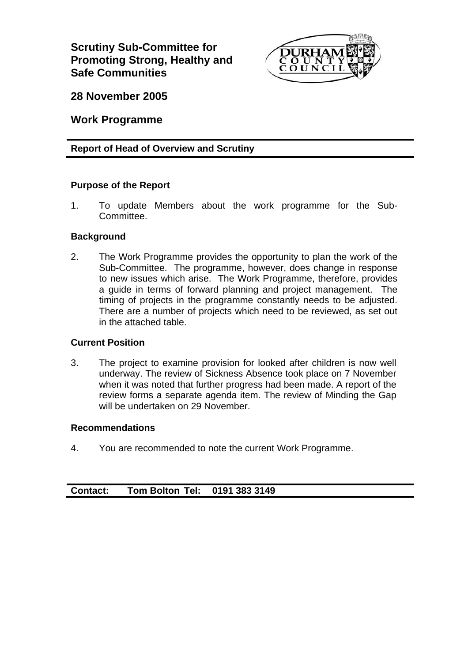**Scrutiny Sub-Committee for Promoting Strong, Healthy and Safe Communities** 



**28 November 2005** 

**Work Programme** 

### **Report of Head of Overview and Scrutiny**

#### **Purpose of the Report**

1. To update Members about the work programme for the Sub-Committee.

#### **Background**

2. The Work Programme provides the opportunity to plan the work of the Sub-Committee. The programme, however, does change in response to new issues which arise. The Work Programme, therefore, provides a guide in terms of forward planning and project management. The timing of projects in the programme constantly needs to be adjusted. There are a number of projects which need to be reviewed, as set out in the attached table.

#### **Current Position**

3. The project to examine provision for looked after children is now well underway. The review of Sickness Absence took place on 7 November when it was noted that further progress had been made. A report of the review forms a separate agenda item. The review of Minding the Gap will be undertaken on 29 November.

#### **Recommendations**

4. You are recommended to note the current Work Programme.

### **Contact: Tom Bolton Tel: 0191 383 3149**